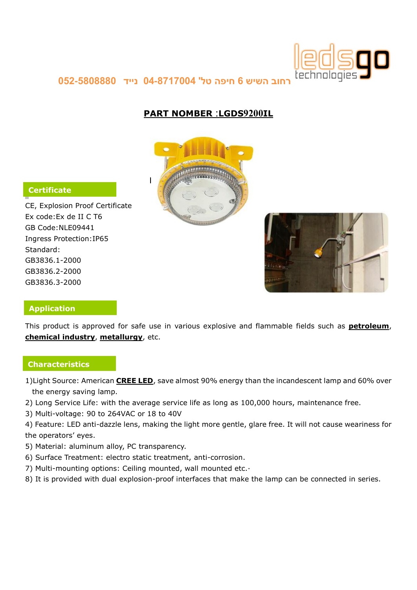

**רחוב השיש 6 חיפה טל' 40-4707440 נייד 450-5444444**

# **PART NOMBER :LGDS9200IL**



## **Certificate**

CE, Explosion Proof Certificate Ex code:Ex de II C T6 GB Code:NLE09441 Ingress Protection:IP65 Standard: GB3836.1-2000 GB3836.2-2000 GB3836.3-2000



## **Application**

This product is approved for safe use in various explosive and flammable fields such as **petroleum**, **chemical industry**, **metallurgy**, etc.

#### **Characteristics**

- 1)Light Source: American **CREE LED**, save almost 90% energy than the incandescent lamp and 60% over the energy saving lamp.
- 2) Long Service Life: with the average service life as long as 100,000 hours, maintenance free.
- 3) Multi-voltage: 90 to 264VAC or 18 to 40V
- 4) Feature: LED anti-dazzle lens, making the light more gentle, glare free. It will not cause weariness for the operators' eyes.
- 5) Material: aluminum alloy, PC transparency.
- 6) Surface Treatment: electro static treatment, anti-corrosion.
- 7) Multi-mounting options: Ceiling mounted, wall mounted etc.·
- 8) It is provided with dual explosion-proof interfaces that make the lamp can be connected in series.